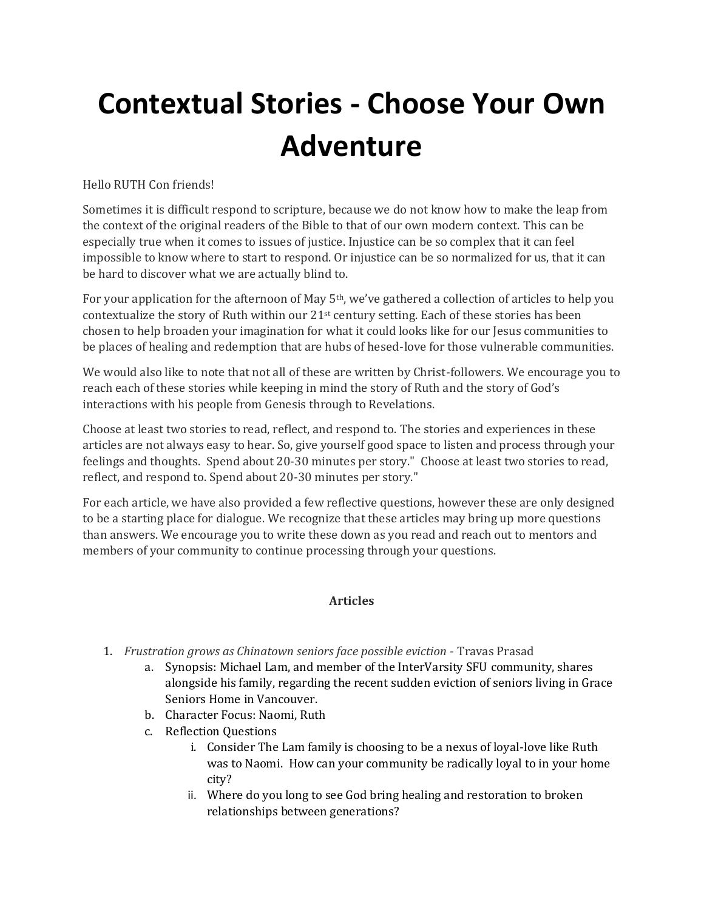## **Contextual Stories - Choose Your Own Adventure**

Hello RUTH Con friends!

Sometimes it is difficult respond to scripture, because we do not know how to make the leap from the context of the original readers of the Bible to that of our own modern context. This can be especially true when it comes to issues of justice. Injustice can be so complex that it can feel impossible to know where to start to respond. Or injustice can be so normalized for us, that it can be hard to discover what we are actually blind to.

For your application for the afternoon of May  $5<sup>th</sup>$ , we've gathered a collection of articles to help you contextualize the story of Ruth within our 21st century setting. Each of these stories has been chosen to help broaden your imagination for what it could looks like for our Jesus communities to be places of healing and redemption that are hubs of hesed-love for those vulnerable communities.

We would also like to note that not all of these are written by Christ-followers. We encourage you to reach each of these stories while keeping in mind the story of Ruth and the story of God's interactions with his people from Genesis through to Revelations.

Choose at least two stories to read, reflect, and respond to. The stories and experiences in these articles are not always easy to hear. So, give yourself good space to listen and process through your feelings and thoughts. Spend about 20-30 minutes per story." Choose at least two stories to read, reflect, and respond to. Spend about 20-30 minutes per story."

For each article, we have also provided a few reflective questions, however these are only designed to be a starting place for dialogue. We recognize that these articles may bring up more questions than answers. We encourage you to write these down as you read and reach out to mentors and members of your community to continue processing through your questions.

## **Articles**

- 1. *Frustration grows as Chinatown seniors face possible eviction* Travas Prasad
	- a. Synopsis: Michael Lam, and member of the InterVarsity SFU community, shares alongside his family, regarding the recent sudden eviction of seniors living in Grace Seniors Home in Vancouver.
	- b. Character Focus: Naomi, Ruth
	- c. Reflection Questions
		- i. Consider The Lam family is choosing to be a nexus of loyal-love like Ruth was to Naomi. How can your community be radically loyal to in your home city?
		- ii. Where do you long to see God bring healing and restoration to broken relationships between generations?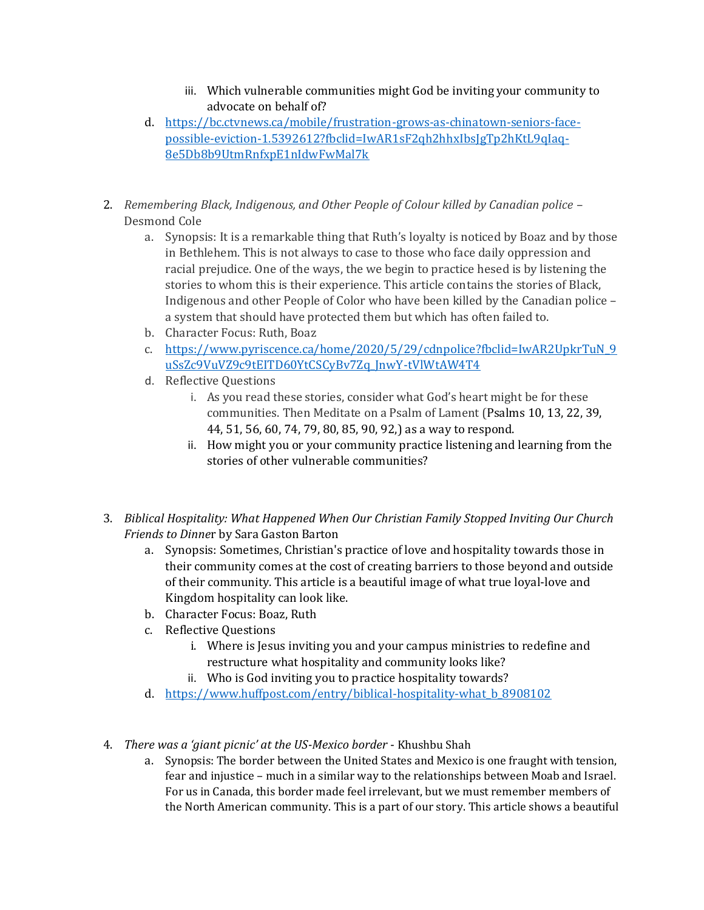- iii. Which vulnerable communities might God be inviting your community to advocate on behalf of?
- d. [https://bc.ctvnews.ca/mobile/frustration-grows-as-chinatown-seniors-face](https://bc.ctvnews.ca/mobile/frustration-grows-as-chinatown-seniors-face-possible-eviction-1.5392612?fbclid=IwAR1sF2qh2hhxIbsJgTp2hKtL9qIaq-8e5Db8b9UtmRnfxpE1nIdwFwMal7k)[possible-eviction-1.5392612?fbclid=IwAR1sF2qh2hhxIbsJgTp2hKtL9qIaq-](https://bc.ctvnews.ca/mobile/frustration-grows-as-chinatown-seniors-face-possible-eviction-1.5392612?fbclid=IwAR1sF2qh2hhxIbsJgTp2hKtL9qIaq-8e5Db8b9UtmRnfxpE1nIdwFwMal7k)[8e5Db8b9UtmRnfxpE1nIdwFwMal7k](https://bc.ctvnews.ca/mobile/frustration-grows-as-chinatown-seniors-face-possible-eviction-1.5392612?fbclid=IwAR1sF2qh2hhxIbsJgTp2hKtL9qIaq-8e5Db8b9UtmRnfxpE1nIdwFwMal7k)
- 2. *Remembering Black, Indigenous, and Other People of Colour killed by Canadian police* Desmond Cole
	- a. Synopsis: It is a remarkable thing that Ruth's loyalty is noticed by Boaz and by those in Bethlehem. This is not always to case to those who face daily oppression and racial prejudice. One of the ways, the we begin to practice hesed is by listening the stories to whom this is their experience. This article contains the stories of Black, Indigenous and other People of Color who have been killed by the Canadian police – a system that should have protected them but which has often failed to.
	- b. Character Focus: Ruth, Boaz
	- c. [https://www.pyriscence.ca/home/2020/5/29/cdnpolice?fbclid=IwAR2UpkrTuN\\_9](https://www.pyriscence.ca/home/2020/5/29/cdnpolice?fbclid=IwAR2UpkrTuN_9uSsZc9VuVZ9c9tEITD60YtCSCyBv7Zq_JnwY-tVlWtAW4T4) [uSsZc9VuVZ9c9tEITD60YtCSCyBv7Zq\\_JnwY-tVlWtAW4T4](https://www.pyriscence.ca/home/2020/5/29/cdnpolice?fbclid=IwAR2UpkrTuN_9uSsZc9VuVZ9c9tEITD60YtCSCyBv7Zq_JnwY-tVlWtAW4T4)
	- d. Reflective Questions
		- i. As you read these stories, consider what God's heart might be for these communities. Then Meditate on a Psalm of Lament (Psalms 10, 13, 22, 39, 44, 51, 56, 60, 74, 79, 80, 85, 90, 92,) as a way to respond.
		- ii. How might you or your community practice listening and learning from the stories of other vulnerable communities?
- 3. *Biblical Hospitality: What Happened When Our Christian Family Stopped Inviting Our Church Friends to Dinne*r by Sara Gaston Barton
	- a. Synopsis: Sometimes, Christian's practice of love and hospitality towards those in their community comes at the cost of creating barriers to those beyond and outside of their community. This article is a beautiful image of what true loyal-love and Kingdom hospitality can look like.
	- b. Character Focus: Boaz, Ruth
	- c. Reflective Questions
		- i. Where is Jesus inviting you and your campus ministries to redefine and restructure what hospitality and community looks like?
		- ii. Who is God inviting you to practice hospitality towards?
	- d. https://www.huffpost.com/entry/biblical-hospitality-what b 8908102
- 4. *There was a 'giant picnic' at the US-Mexico border* Khushbu Shah
	- a. Synopsis: The border between the United States and Mexico is one fraught with tension, fear and injustice – much in a similar way to the relationships between Moab and Israel. For us in Canada, this border made feel irrelevant, but we must remember members of the North American community. This is a part of our story. This article shows a beautiful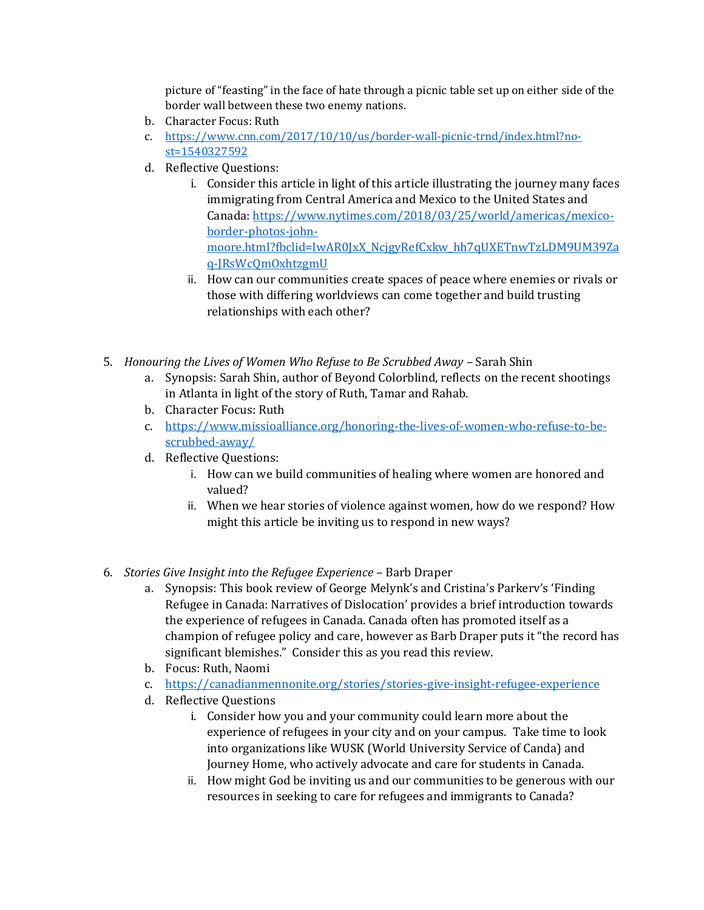picture of "feasting" in the face of hate through a picnic table set up on either side of the border wall between these two enemy nations.

- b. Character Focus: Ruth
- c. [https://www.cnn.com/2017/10/10/us/border-wall-picnic-trnd/index.html?no](https://www.cnn.com/2017/10/10/us/border-wall-picnic-trnd/index.html?no-st=1540327592)[st=1540327592](https://www.cnn.com/2017/10/10/us/border-wall-picnic-trnd/index.html?no-st=1540327592)
- d. Reflective Questions:
	- i. Consider this article in light of this article illustrating the journey many faces immigrating from Central America and Mexico to the United States and Canada: [https://www.nytimes.com/2018/03/25/world/americas/mexico](https://www.nytimes.com/2018/03/25/world/americas/mexico-border-photos-john-moore.html?fbclid=IwAR0JxX_NcjgyRefCxkw_hh7qUXETnwTzLDM9UM39Zaq-JRsWcQmOxhtzgmU)[border-photos-john](https://www.nytimes.com/2018/03/25/world/americas/mexico-border-photos-john-moore.html?fbclid=IwAR0JxX_NcjgyRefCxkw_hh7qUXETnwTzLDM9UM39Zaq-JRsWcQmOxhtzgmU)[moore.html?fbclid=IwAR0JxX\\_NcjgyRefCxkw\\_hh7qUXETnwTzLDM9UM39Za](https://www.nytimes.com/2018/03/25/world/americas/mexico-border-photos-john-moore.html?fbclid=IwAR0JxX_NcjgyRefCxkw_hh7qUXETnwTzLDM9UM39Zaq-JRsWcQmOxhtzgmU) [q-JRsWcQmOxhtzgmU](https://www.nytimes.com/2018/03/25/world/americas/mexico-border-photos-john-moore.html?fbclid=IwAR0JxX_NcjgyRefCxkw_hh7qUXETnwTzLDM9UM39Zaq-JRsWcQmOxhtzgmU)
	- ii. How can our communities create spaces of peace where enemies or rivals or those with differing worldviews can come together and build trusting relationships with each other?
- 5. *Honouring the Lives of Women Who Refuse to Be Scrubbed Away Sarah Shin* 
	- a. Synopsis: Sarah Shin, author of Beyond Colorblind, reflects on the recent shootings in Atlanta in light of the story of Ruth, Tamar and Rahab.
	- b. Character Focus: Ruth
	- c. [https://www.missioalliance.org/honoring-the-lives-of-women-who-refuse-to-be](https://www.missioalliance.org/honoring-the-lives-of-women-who-refuse-to-be-scrubbed-away/)[scrubbed-away/](https://www.missioalliance.org/honoring-the-lives-of-women-who-refuse-to-be-scrubbed-away/)
	- d. Reflective Questions:
		- i. How can we build communities of healing where women are honored and valued?
		- ii. When we hear stories of violence against women, how do we respond? How might this article be inviting us to respond in new ways?
- 6. *Stories Give Insight into the Refugee Experience*  Barb Draper
	- a. Synopsis: This book review of George Melynk's and Cristina's Parkerv's 'Finding Refugee in Canada: Narratives of Dislocation' provides a brief introduction towards the experience of refugees in Canada. Canada often has promoted itself as a champion of refugee policy and care, however as Barb Draper puts it "the record has significant blemishes." Consider this as you read this review.
	- b. Focus: Ruth, Naomi
	- c. <https://canadianmennonite.org/stories/stories-give-insight-refugee-experience>
	- d. Reflective Questions
		- i. Consider how you and your community could learn more about the experience of refugees in your city and on your campus. Take time to look into organizations like WUSK (World University Service of Canda) and Journey Home, who actively advocate and care for students in Canada.
		- ii. How might God be inviting us and our communities to be generous with our resources in seeking to care for refugees and immigrants to Canada?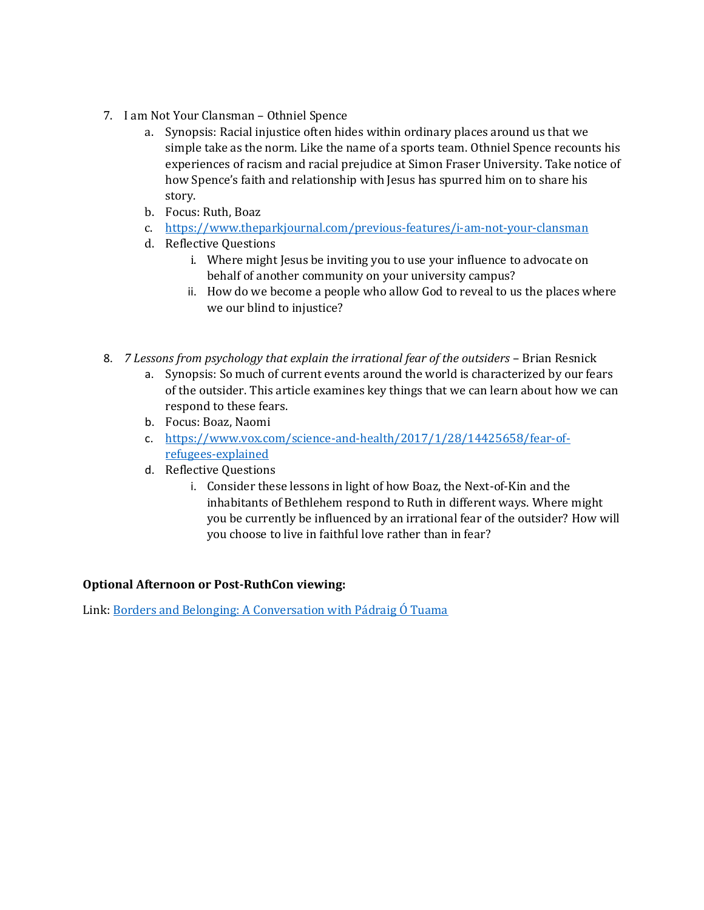- 7. I am Not Your Clansman Othniel Spence
	- a. Synopsis: Racial injustice often hides within ordinary places around us that we simple take as the norm. Like the name of a sports team. Othniel Spence recounts his experiences of racism and racial prejudice at Simon Fraser University. Take notice of how Spence's faith and relationship with Jesus has spurred him on to share his story.
	- b. Focus: Ruth, Boaz
	- c. <https://www.theparkjournal.com/previous-features/i-am-not-your-clansman>
	- d. Reflective Questions
		- i. Where might Jesus be inviting you to use your influence to advocate on behalf of another community on your university campus?
		- ii. How do we become a people who allow God to reveal to us the places where we our blind to injustice?
- 8. *7 Lessons from psychology that explain the irrational fear of the outsiders* Brian Resnick
	- a. Synopsis: So much of current events around the world is characterized by our fears of the outsider. This article examines key things that we can learn about how we can respond to these fears.
	- b. Focus: Boaz, Naomi
	- c. [https://www.vox.com/science-and-health/2017/1/28/14425658/fear-of](https://www.vox.com/science-and-health/2017/1/28/14425658/fear-of-refugees-explained)[refugees-explained](https://www.vox.com/science-and-health/2017/1/28/14425658/fear-of-refugees-explained)
	- d. Reflective Questions
		- i. Consider these lessons in light of how Boaz, the Next-of-Kin and the inhabitants of Bethlehem respond to Ruth in different ways. Where might you be currently be influenced by an irrational fear of the outsider? How will you choose to live in faithful love rather than in fear?

## **Optional Afternoon or Post-RuthCon viewing:**

Link: [Borders and Belonging: A Conversation with Pádraig Ó Tuama](https://www.youtube.com/watch?v=hNULcUPDxuI&t=2030s)